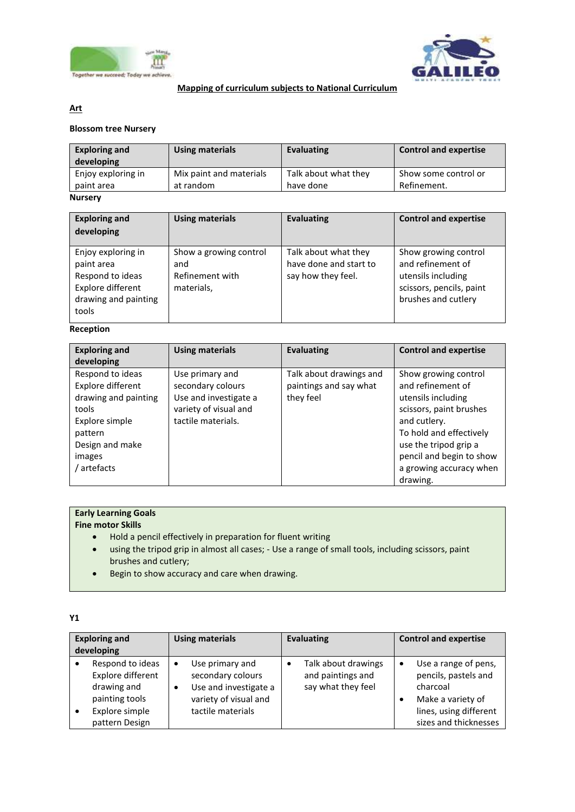



#### **Mapping of curriculum subjects to National Curriculum**

### **Art**

#### **Blossom tree Nursery**

| <b>Exploring and</b><br>developing | <b>Using materials</b>  | Evaluating           | <b>Control and expertise</b> |
|------------------------------------|-------------------------|----------------------|------------------------------|
| Enjoy exploring in                 | Mix paint and materials | Talk about what they | Show some control or         |
| paint area                         | at random               | have done            | Refinement.                  |
| <b>Nursery</b>                     |                         |                      |                              |

#### **Exploring and developing Using materials Evaluating Control and expertise** Enjoy exploring in paint area Respond to ideas Explore different drawing and painting tools Show a growing control and Refinement with materials, Talk about what they have done and start to say how they feel. Show growing control and refinement of utensils including scissors, pencils, paint brushes and cutlery

#### **Reception**

| <b>Exploring and</b><br>developing                                                                                                              | <b>Using materials</b>                                                                                       | <b>Evaluating</b>                                              | <b>Control and expertise</b>                                                                                                                                                                                                      |
|-------------------------------------------------------------------------------------------------------------------------------------------------|--------------------------------------------------------------------------------------------------------------|----------------------------------------------------------------|-----------------------------------------------------------------------------------------------------------------------------------------------------------------------------------------------------------------------------------|
| Respond to ideas<br>Explore different<br>drawing and painting<br>tools<br>Explore simple<br>pattern<br>Design and make<br>images<br>/ artefacts | Use primary and<br>secondary colours<br>Use and investigate a<br>variety of visual and<br>tactile materials. | Talk about drawings and<br>paintings and say what<br>they feel | Show growing control<br>and refinement of<br>utensils including<br>scissors, paint brushes<br>and cutlery.<br>To hold and effectively<br>use the tripod grip a<br>pencil and begin to show<br>a growing accuracy when<br>drawing. |

# **Early Learning Goals**

**Fine motor Skills**

- Hold a pencil effectively in preparation for fluent writing
- using the tripod grip in almost all cases; Use a range of small tools, including scissors, paint brushes and cutlery;
- Begin to show accuracy and care when drawing.

| I |
|---|
|   |
|   |

| <b>Exploring and</b><br>developing                                                                         |   | <b>Using materials</b>                                                                                      |           | <b>Evaluating</b>                                              | <b>Control and expertise</b>                                                                                                     |
|------------------------------------------------------------------------------------------------------------|---|-------------------------------------------------------------------------------------------------------------|-----------|----------------------------------------------------------------|----------------------------------------------------------------------------------------------------------------------------------|
| Respond to ideas<br>Explore different<br>drawing and<br>painting tools<br>Explore simple<br>pattern Design | ٠ | Use primary and<br>secondary colours<br>Use and investigate a<br>variety of visual and<br>tactile materials | $\bullet$ | Talk about drawings<br>and paintings and<br>say what they feel | Use a range of pens,<br>pencils, pastels and<br>charcoal<br>Make a variety of<br>lines, using different<br>sizes and thicknesses |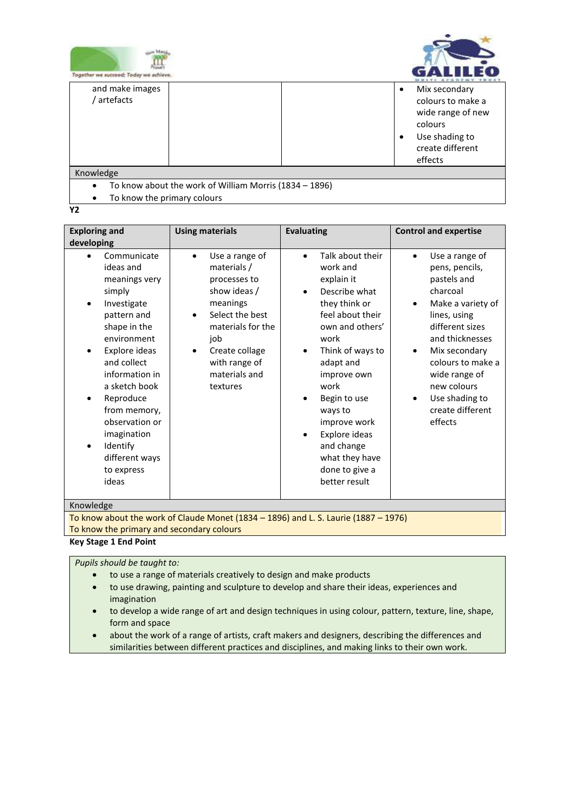



| Together we succeed; Today we achieve.                 |                                                                                                                                       |
|--------------------------------------------------------|---------------------------------------------------------------------------------------------------------------------------------------|
| and make images<br>' artefacts                         | Mix secondary<br>$\bullet$<br>colours to make a<br>wide range of new<br>colours<br>Use shading to<br>٠<br>create different<br>effects |
| Knowledge                                              |                                                                                                                                       |
| To know about the work of William Morris (1834 - 1896) |                                                                                                                                       |

- To know the primary colours
- **Y2**

| <b>Exploring and</b>                                                                                                                                                                                                                                                                                   | <b>Using materials</b>                                                                                                                                                                                     | <b>Evaluating</b>                                                                                                                                                                                                                                                                                                                                         | <b>Control and expertise</b>                                                                                                                                                                                                                                                                 |
|--------------------------------------------------------------------------------------------------------------------------------------------------------------------------------------------------------------------------------------------------------------------------------------------------------|------------------------------------------------------------------------------------------------------------------------------------------------------------------------------------------------------------|-----------------------------------------------------------------------------------------------------------------------------------------------------------------------------------------------------------------------------------------------------------------------------------------------------------------------------------------------------------|----------------------------------------------------------------------------------------------------------------------------------------------------------------------------------------------------------------------------------------------------------------------------------------------|
| developing                                                                                                                                                                                                                                                                                             |                                                                                                                                                                                                            |                                                                                                                                                                                                                                                                                                                                                           |                                                                                                                                                                                                                                                                                              |
| Communicate<br>ideas and<br>meanings very<br>simply<br>Investigate<br>pattern and<br>shape in the<br>environment<br>Explore ideas<br>and collect<br>information in<br>a sketch book<br>Reproduce<br>from memory,<br>observation or<br>imagination<br>Identify<br>different ways<br>to express<br>ideas | Use a range of<br>$\bullet$<br>materials /<br>processes to<br>show ideas /<br>meanings<br>Select the best<br>٠<br>materials for the<br>job<br>Create collage<br>with range of<br>materials and<br>textures | Talk about their<br>$\bullet$<br>work and<br>explain it<br>Describe what<br>$\bullet$<br>they think or<br>feel about their<br>own and others'<br>work<br>Think of ways to<br>$\bullet$<br>adapt and<br>improve own<br>work<br>Begin to use<br>ways to<br>improve work<br>Explore ideas<br>and change<br>what they have<br>done to give a<br>better result | Use a range of<br>$\bullet$<br>pens, pencils,<br>pastels and<br>charcoal<br>Make a variety of<br>$\bullet$<br>lines, using<br>different sizes<br>and thicknesses<br>Mix secondary<br>٠<br>colours to make a<br>wide range of<br>new colours<br>Use shading to<br>create different<br>effects |
| Knowledge                                                                                                                                                                                                                                                                                              |                                                                                                                                                                                                            |                                                                                                                                                                                                                                                                                                                                                           |                                                                                                                                                                                                                                                                                              |
|                                                                                                                                                                                                                                                                                                        | $\mathbf{r}$ $\mathbf{r}$ $\mathbf{r}$ $\mathbf{r}$ $\mathbf{r}$ $\mathbf{r}$ $\mathbf{r}$<br>$14004 - 4000$                                                                                               | $\mathbf{1} \cdot \mathbf{2} \cdot \mathbf{3} \cdot \mathbf{4} \cdot \mathbf{5}$                                                                                                                                                                                                                                                                          | $20 - 21$                                                                                                                                                                                                                                                                                    |

To know about the work of Claude Monet (1834 – 1896) and L. S. Laurie (1887 – 1976) To know the primary and secondary colours

#### **Key Stage 1 End Point**

#### *Pupils should be taught to:*

- to use a range of materials creatively to design and make products
- to use drawing, painting and sculpture to develop and share their ideas, experiences and imagination
- to develop a wide range of art and design techniques in using colour, pattern, texture, line, shape, form and space
- about the work of a range of artists, craft makers and designers, describing the differences and similarities between different practices and disciplines, and making links to their own work.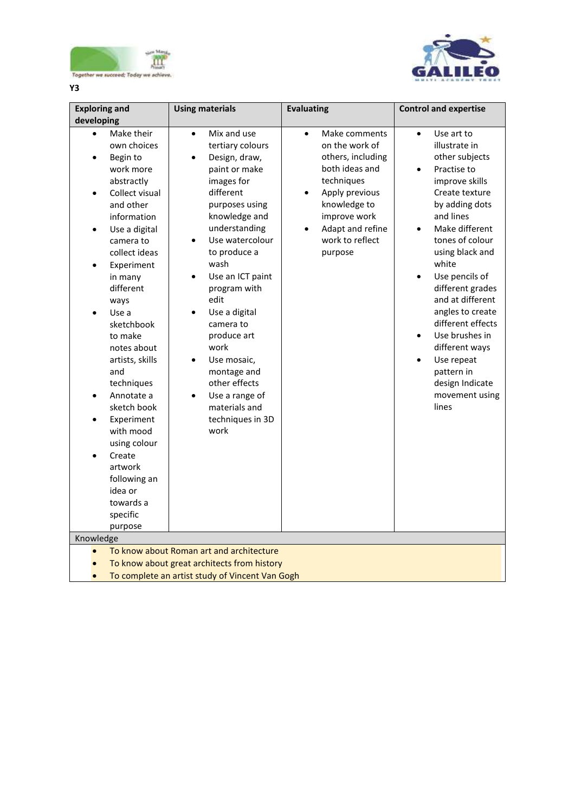



**Y3**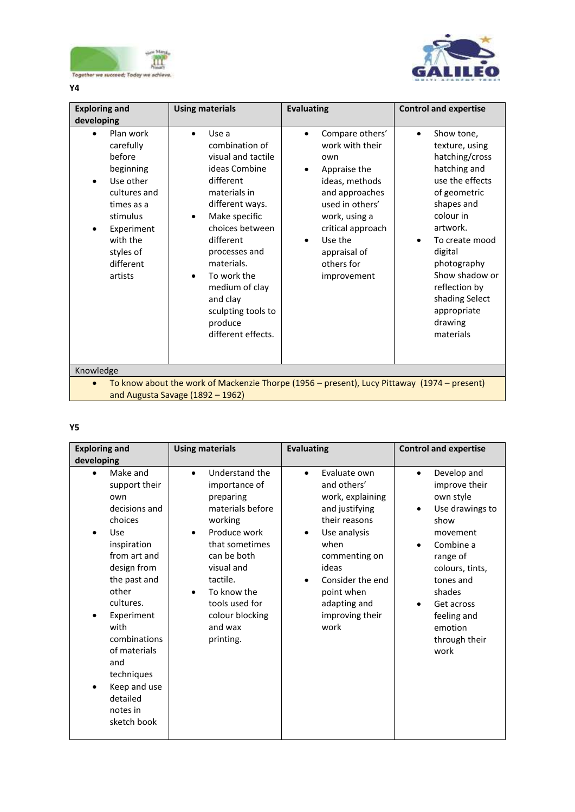



**Y4**

| <b>Exploring and</b>                                                                                                                                                | <b>Using materials</b>                                                                                                                                                                                                                                                                             | <b>Evaluating</b>                                                                                                                                                                                              | <b>Control and expertise</b>                                                                                                                                                                                                                                                                  |  |  |
|---------------------------------------------------------------------------------------------------------------------------------------------------------------------|----------------------------------------------------------------------------------------------------------------------------------------------------------------------------------------------------------------------------------------------------------------------------------------------------|----------------------------------------------------------------------------------------------------------------------------------------------------------------------------------------------------------------|-----------------------------------------------------------------------------------------------------------------------------------------------------------------------------------------------------------------------------------------------------------------------------------------------|--|--|
| developing                                                                                                                                                          |                                                                                                                                                                                                                                                                                                    |                                                                                                                                                                                                                |                                                                                                                                                                                                                                                                                               |  |  |
| Plan work<br>carefully<br>hefore<br>beginning<br>Use other<br>cultures and<br>times as a<br>stimulus<br>Experiment<br>with the<br>styles of<br>different<br>artists | Use a<br>combination of<br>visual and tactile<br>ideas Combine<br>different<br>materials in<br>different ways.<br>Make specific<br>choices between<br>different<br>processes and<br>materials.<br>To work the<br>medium of clay<br>and clay<br>sculpting tools to<br>produce<br>different effects. | Compare others'<br>work with their<br>own<br>Appraise the<br>ideas, methods<br>and approaches<br>used in others'<br>work, using a<br>critical approach<br>Use the<br>appraisal of<br>others for<br>improvement | Show tone,<br>$\bullet$<br>texture, using<br>hatching/cross<br>hatching and<br>use the effects<br>of geometric<br>shapes and<br>colour in<br>artwork.<br>To create mood<br>digital<br>photography<br>Show shadow or<br>reflection by<br>shading Select<br>appropriate<br>drawing<br>materials |  |  |
| Knowledge                                                                                                                                                           |                                                                                                                                                                                                                                                                                                    |                                                                                                                                                                                                                |                                                                                                                                                                                                                                                                                               |  |  |
| To know about the work of Mackenzie Thorpe (1956 - present), Lucy Pittaway (1974 - present)<br>and Augusta Savage (1892 - 1962)                                     |                                                                                                                                                                                                                                                                                                    |                                                                                                                                                                                                                |                                                                                                                                                                                                                                                                                               |  |  |

# **Y5**

| <b>Exploring and</b>                                                                                                                                                                                                                                                                                   | <b>Using materials</b>                                                                                                                                                                                                                          | <b>Evaluating</b>                                                                                                                                                                                                                                        | <b>Control and expertise</b>                                                                                                                                                                                                                        |  |
|--------------------------------------------------------------------------------------------------------------------------------------------------------------------------------------------------------------------------------------------------------------------------------------------------------|-------------------------------------------------------------------------------------------------------------------------------------------------------------------------------------------------------------------------------------------------|----------------------------------------------------------------------------------------------------------------------------------------------------------------------------------------------------------------------------------------------------------|-----------------------------------------------------------------------------------------------------------------------------------------------------------------------------------------------------------------------------------------------------|--|
| developing                                                                                                                                                                                                                                                                                             |                                                                                                                                                                                                                                                 |                                                                                                                                                                                                                                                          |                                                                                                                                                                                                                                                     |  |
| Make and<br>$\bullet$<br>support their<br>own<br>decisions and<br>choices<br>Use<br>inspiration<br>from art and<br>design from<br>the past and<br>other<br>cultures.<br>Experiment<br>with<br>combinations<br>of materials<br>and<br>techniques<br>Keep and use<br>detailed<br>notes in<br>sketch book | Understand the<br>$\bullet$<br>importance of<br>preparing<br>materials before<br>working<br>Produce work<br>that sometimes<br>can be both<br>visual and<br>tactile.<br>To know the<br>tools used for<br>colour blocking<br>and wax<br>printing. | Evaluate own<br>$\bullet$<br>and others'<br>work, explaining<br>and justifying<br>their reasons<br>Use analysis<br>$\bullet$<br>when<br>commenting on<br>ideas<br>Consider the end<br>$\bullet$<br>point when<br>adapting and<br>improving their<br>work | Develop and<br>$\bullet$<br>improve their<br>own style<br>Use drawings to<br>٠<br>show<br>movement<br>Combine a<br>$\bullet$<br>range of<br>colours, tints,<br>tones and<br>shades<br>Get across<br>feeling and<br>emotion<br>through their<br>work |  |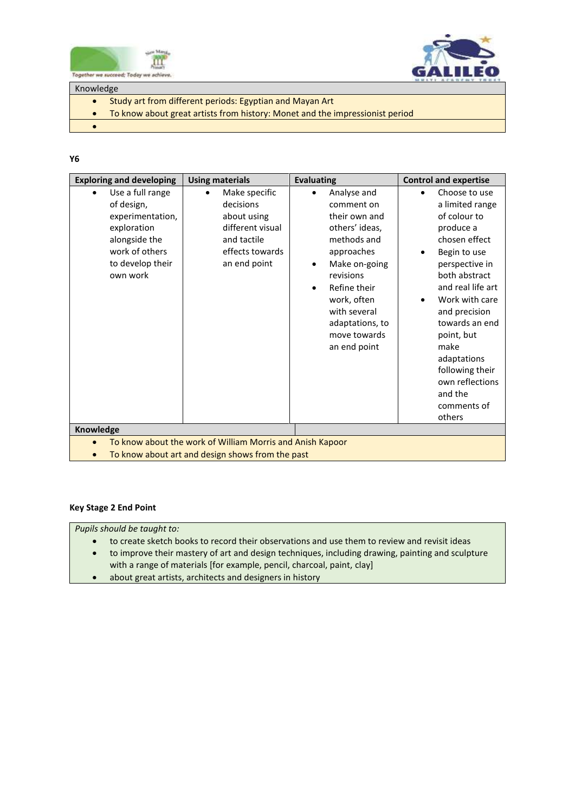



Knowledge

- Study art from different periods: Egyptian and Mayan Art
- To know about great artists from history: Monet and the impressionist period

 $\bullet$ 

### **Y6**

| <b>Exploring and developing</b>                                                                                                           | <b>Using materials</b>                                                                                          | <b>Evaluating</b>                                                                                                                                                                                                                      | <b>Control and expertise</b>                                                                                                                                                                                                                                                                                                                                      |  |
|-------------------------------------------------------------------------------------------------------------------------------------------|-----------------------------------------------------------------------------------------------------------------|----------------------------------------------------------------------------------------------------------------------------------------------------------------------------------------------------------------------------------------|-------------------------------------------------------------------------------------------------------------------------------------------------------------------------------------------------------------------------------------------------------------------------------------------------------------------------------------------------------------------|--|
| Use a full range<br>٠<br>of design,<br>experimentation,<br>exploration<br>alongside the<br>work of others<br>to develop their<br>own work | Make specific<br>decisions<br>about using<br>different visual<br>and tactile<br>effects towards<br>an end point | Analyse and<br>comment on<br>their own and<br>others' ideas,<br>methods and<br>approaches<br>Make on-going<br>revisions<br>Refine their<br>$\bullet$<br>work, often<br>with several<br>adaptations, to<br>move towards<br>an end point | Choose to use<br>$\bullet$<br>a limited range<br>of colour to<br>produce a<br>chosen effect<br>Begin to use<br>$\bullet$<br>perspective in<br>both abstract<br>and real life art<br>Work with care<br>$\bullet$<br>and precision<br>towards an end<br>point, but<br>make<br>adaptations<br>following their<br>own reflections<br>and the<br>comments of<br>others |  |
| Knowledge                                                                                                                                 |                                                                                                                 |                                                                                                                                                                                                                                        |                                                                                                                                                                                                                                                                                                                                                                   |  |
| $\bullet$                                                                                                                                 | To know about the work of William Morris and Anish Kapoor                                                       |                                                                                                                                                                                                                                        |                                                                                                                                                                                                                                                                                                                                                                   |  |
|                                                                                                                                           | To know about art and design shows from the past                                                                |                                                                                                                                                                                                                                        |                                                                                                                                                                                                                                                                                                                                                                   |  |
|                                                                                                                                           |                                                                                                                 |                                                                                                                                                                                                                                        |                                                                                                                                                                                                                                                                                                                                                                   |  |

## **Key Stage 2 End Point**

*Pupils should be taught to:* 

- to create sketch books to record their observations and use them to review and revisit ideas
- to improve their mastery of art and design techniques, including drawing, painting and sculpture with a range of materials [for example, pencil, charcoal, paint, clay]
- about great artists, architects and designers in history